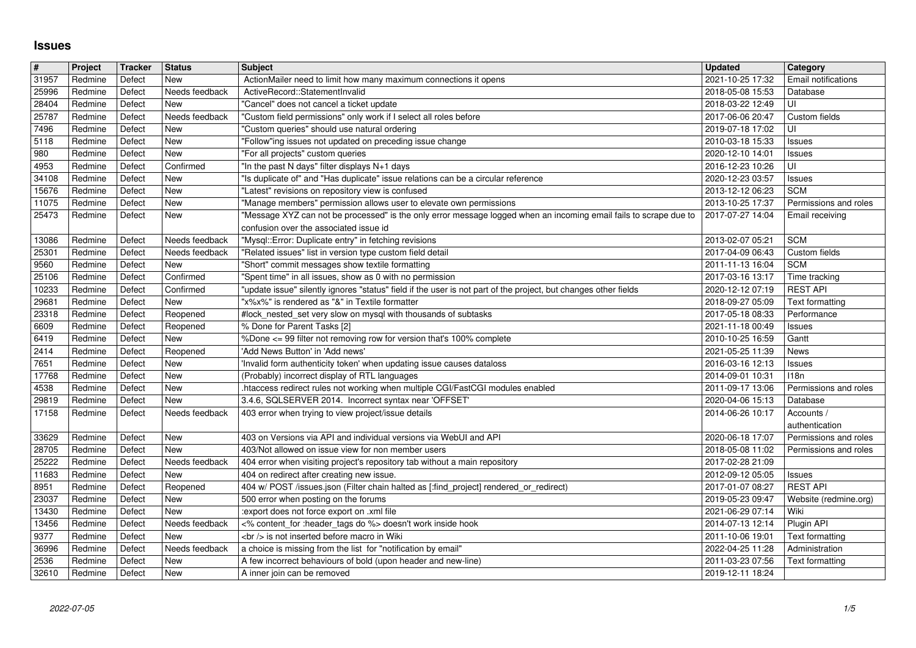## **Issues**

| $\vert$ #      | Project            | Tracker          | <b>Status</b>                    | <b>Subject</b>                                                                                                                     | <b>Updated</b>                       | Category                                       |
|----------------|--------------------|------------------|----------------------------------|------------------------------------------------------------------------------------------------------------------------------------|--------------------------------------|------------------------------------------------|
| 31957          | Redmine            | Defect           | New                              | ActionMailer need to limit how many maximum connections it opens                                                                   | 2021-10-25 17:32                     | Email notifications                            |
| 25996          | Redmine            | Defect           | Needs feedback                   | ActiveRecord::StatementInvalid                                                                                                     | 2018-05-08 15:53                     | Database                                       |
| 28404<br>25787 | Redmine<br>Redmine | Defect<br>Defect | <b>New</b><br>Needs feedback     | "Cancel" does not cancel a ticket update<br>"Custom field permissions" only work if I select all roles before                      | 2018-03-22 12:49<br>2017-06-06 20:47 | UI<br>Custom fields                            |
| 7496           | Redmine            | Defect           | <b>New</b>                       | "Custom queries" should use natural ordering                                                                                       | 2019-07-18 17:02                     | UI                                             |
| 5118           | Redmine            | Defect           | New                              | "Follow"ing issues not updated on preceding issue change                                                                           | 2010-03-18 15:33                     | <b>Issues</b>                                  |
| 980            | Redmine            | Defect           | <b>New</b>                       | "For all projects" custom queries                                                                                                  | 2020-12-10 14:01                     | <b>Issues</b>                                  |
| 4953<br>34108  | Redmine<br>Redmine | Defect<br>Defect | Confirmed<br><b>New</b>          | "In the past N days" filter displays N+1 days<br>"Is duplicate of" and "Has duplicate" issue relations can be a circular reference | 2016-12-23 10:26<br>2020-12-23 03:57 | UI                                             |
| 15676          | Redmine            | Defect           | New                              | "Latest" revisions on repository view is confused                                                                                  | 2013-12-12 06:23                     | <b>Issues</b><br><b>SCM</b>                    |
| 11075          | Redmine            | Defect           | New                              | "Manage members" permission allows user to elevate own permissions                                                                 | 2013-10-25 17:37                     | Permissions and roles                          |
| 25473          | Redmine            | Defect           | <b>New</b>                       | "Message XYZ can not be processed" is the only error message logged when an incoming email fails to scrape due to                  | 2017-07-27 14:04                     | Email receiving                                |
|                |                    |                  |                                  | confusion over the associated issue id                                                                                             |                                      |                                                |
| 13086<br>25301 | Redmine<br>Redmine | Defect<br>Defect | Needs feedback<br>Needs feedback | "Mysql::Error: Duplicate entry" in fetching revisions<br>"Related issues" list in version type custom field detail                 | 2013-02-07 05:21<br>2017-04-09 06:43 | <b>SCM</b><br>Custom fields                    |
| 9560           | Redmine            | Defect           | New                              | "Short" commit messages show textile formatting                                                                                    | 2011-11-13 16:04                     | <b>SCM</b>                                     |
| 25106          | Redmine            | Defect           | Confirmed                        | 'Spent time" in all issues, show as 0 with no permission                                                                           | 2017-03-16 13:17                     | Time tracking                                  |
| 10233          | Redmine            | Defect           | Confirmed                        | "update issue" silently ignores "status" field if the user is not part of the project, but changes other fields                    | 2020-12-12 07:19                     | <b>REST API</b>                                |
| 29681<br>23318 | Redmine<br>Redmine | Defect<br>Defect | New<br>Reopened                  | "x%x%" is rendered as "&" in Textile formatter                                                                                     | 2018-09-27 05:09<br>2017-05-18 08:33 | Text formatting<br>Performance                 |
| 6609           | Redmine            | Defect           | Reopened                         | #lock_nested_set very slow on mysql with thousands of subtasks<br>% Done for Parent Tasks [2]                                      | 2021-11-18 00:49                     | <b>Issues</b>                                  |
| 6419           | Redmine            | Defect           | <b>New</b>                       | %Done <= 99 filter not removing row for version that's 100% complete                                                               | 2010-10-25 16:59                     | Gantt                                          |
| 2414           | Redmine            | Defect           | Reopened                         | 'Add News Button' in 'Add news'                                                                                                    | 2021-05-25 11:39                     | News                                           |
| 7651           | Redmine            | Defect           | <b>New</b>                       | 'Invalid form authenticity token' when updating issue causes dataloss                                                              | 2016-03-16 12:13                     | <b>Issues</b>                                  |
| 17768<br>4538  | Redmine<br>Redmine | Defect<br>Defect | New<br>New                       | (Probably) incorrect display of RTL languages<br>htaccess redirect rules not working when multiple CGI/FastCGI modules enabled     | 2014-09-01 10:31<br>2011-09-17 13:06 | 118n<br>Permissions and roles                  |
| 29819          | Redmine            | Defect           | New                              | 3.4.6, SQLSERVER 2014. Incorrect syntax near 'OFFSET'                                                                              | 2020-04-06 15:13                     | Database                                       |
| 17158          | Redmine            | Defect           | Needs feedback                   | 403 error when trying to view project/issue details                                                                                | 2014-06-26 10:17                     | Accounts /                                     |
|                |                    |                  |                                  |                                                                                                                                    |                                      | authentication                                 |
| 33629<br>28705 | Redmine<br>Redmine | Defect<br>Defect | New<br><b>New</b>                | 403 on Versions via API and individual versions via WebUI and API<br>403/Not allowed on issue view for non member users            | 2020-06-18 17:07<br>2018-05-08 11:02 | Permissions and roles<br>Permissions and roles |
| 25222          | Redmine            | Defect           | Needs feedback                   | 404 error when visiting project's repository tab without a main repository                                                         | 2017-02-28 21:09                     |                                                |
| 11683          | Redmine            | Defect           | New                              | 404 on redirect after creating new issue.                                                                                          | 2012-09-12 05:05                     | <b>Issues</b>                                  |
| 8951           | Redmine            | Defect           | Reopened                         | 404 w/ POST /issues.json (Filter chain halted as [:find_project] rendered_or_redirect)                                             | 2017-01-07 08:27                     | <b>REST API</b>                                |
| 23037          | Redmine            | Defect           | New                              | 500 error when posting on the forums                                                                                               | 2019-05-23 09:47                     | Website (redmine.org)                          |
| 13430<br>13456 | Redmine<br>Redmine | Defect<br>Defect | New<br>Needs feedback            | :export does not force export on .xml file<br><% content_for :header_tags do %> doesn't work inside hook                           | 2021-06-29 07:14<br>2014-07-13 12:14 | Wiki<br>Plugin API                             |
| 9377           | Redmine            | Defect           | New                              | <br>> is not inserted before macro in Wiki                                                                                         | 2011-10-06 19:01                     | Text formatting                                |
| 36996          | Redmine            | Defect           | Needs feedback                   | a choice is missing from the list for "notification by email"                                                                      | 2022-04-25 11:28   Administration    |                                                |
| 2536<br>32610  | Redmine<br>Redmine | Defect<br>Defect | New<br>New                       | A few incorrect behaviours of bold (upon header and new-line)<br>A inner join can be removed                                       | 2011-03-23 07:56<br>2019-12-11 18:24 | Text formatting                                |
|                |                    |                  |                                  |                                                                                                                                    |                                      |                                                |
|                |                    |                  |                                  |                                                                                                                                    |                                      |                                                |
|                |                    |                  |                                  |                                                                                                                                    |                                      |                                                |
|                |                    |                  |                                  |                                                                                                                                    |                                      |                                                |
|                |                    |                  |                                  |                                                                                                                                    |                                      |                                                |
|                |                    |                  |                                  |                                                                                                                                    |                                      |                                                |
|                |                    |                  |                                  |                                                                                                                                    |                                      |                                                |
|                |                    |                  |                                  |                                                                                                                                    |                                      |                                                |
|                |                    |                  |                                  |                                                                                                                                    |                                      |                                                |
|                |                    |                  |                                  |                                                                                                                                    |                                      |                                                |
|                |                    |                  |                                  |                                                                                                                                    |                                      |                                                |
|                |                    |                  |                                  |                                                                                                                                    |                                      |                                                |
|                |                    |                  |                                  |                                                                                                                                    |                                      |                                                |
|                |                    |                  |                                  |                                                                                                                                    |                                      |                                                |
|                |                    |                  |                                  |                                                                                                                                    |                                      |                                                |
|                |                    |                  |                                  |                                                                                                                                    |                                      |                                                |
|                |                    |                  |                                  |                                                                                                                                    |                                      |                                                |
|                |                    |                  |                                  |                                                                                                                                    |                                      |                                                |
|                |                    |                  |                                  |                                                                                                                                    |                                      |                                                |
|                |                    |                  |                                  |                                                                                                                                    |                                      |                                                |
|                |                    |                  |                                  |                                                                                                                                    |                                      |                                                |
|                |                    |                  |                                  |                                                                                                                                    |                                      |                                                |
|                |                    |                  |                                  |                                                                                                                                    |                                      |                                                |
|                |                    |                  |                                  |                                                                                                                                    |                                      |                                                |
|                |                    |                  |                                  |                                                                                                                                    |                                      |                                                |
|                |                    |                  |                                  |                                                                                                                                    |                                      |                                                |
|                |                    |                  |                                  |                                                                                                                                    |                                      |                                                |
|                |                    |                  |                                  |                                                                                                                                    |                                      |                                                |
|                |                    |                  |                                  |                                                                                                                                    |                                      |                                                |
|                |                    |                  |                                  |                                                                                                                                    |                                      |                                                |
|                |                    |                  |                                  |                                                                                                                                    |                                      |                                                |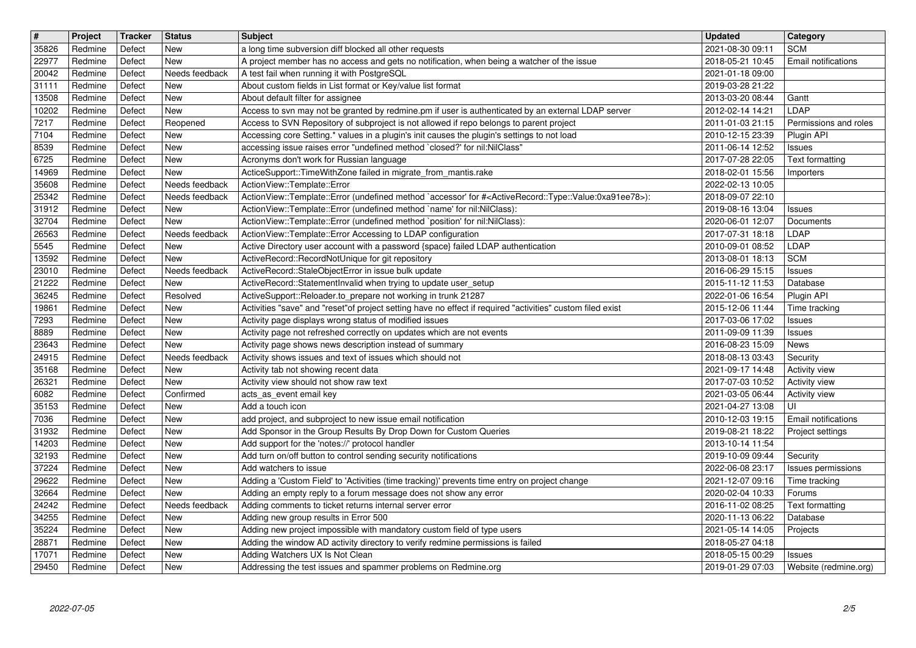| $\overline{\mathbf{t}}$ | Project            | Tracker          | <b>Status</b>                | <b>Subject</b>                                                                                                                                                                         | <b>Updated</b>                       | Category<br><b>SCM</b>              |
|-------------------------|--------------------|------------------|------------------------------|----------------------------------------------------------------------------------------------------------------------------------------------------------------------------------------|--------------------------------------|-------------------------------------|
| 35826<br>22977          | Redmine<br>Redmine | Defect<br>Defect | New<br><b>New</b>            | a long time subversion diff blocked all other requests<br>A project member has no access and gets no notification, when being a watcher of the issue                                   | 2021-08-30 09:11<br>2018-05-21 10:45 | Email notifications                 |
| 20042                   | Redmine            | Defect           | Needs feedback               | A test fail when running it with PostgreSQL                                                                                                                                            | 2021-01-18 09:00                     |                                     |
| 31111<br>13508          | Redmine<br>Redmine | Defect<br>Defect | <b>New</b><br>New            | About custom fields in List format or Key/value list format<br>About default filter for assignee                                                                                       | 2019-03-28 21:22<br>2013-03-20 08:44 | Gantt                               |
| 10202                   | Redmine            | Defect           | <b>New</b>                   | Access to svn may not be granted by redmine.pm if user is authenticated by an external LDAP server                                                                                     | 2012-02-14 14:21                     | LDAP                                |
| 7217<br>7104            | Redmine<br>Redmine | Defect<br>Defect | Reopened<br>New              | Access to SVN Repository of subproject is not allowed if repo belongs to parent project<br>Accessing core Setting.* values in a plugin's init causes the plugin's settings to not load | 2011-01-03 21:15<br>2010-12-15 23:39 | Permissions and roles<br>Plugin API |
| 8539                    | Redmine            | Defect           | New                          | accessing issue raises error "undefined method `closed?' for nil:NilClass"                                                                                                             | 2011-06-14 12:52                     | <b>Issues</b>                       |
| 6725                    | Redmine            | Defect           | New                          | Acronyms don't work for Russian language                                                                                                                                               | 2017-07-28 22:05                     | Text formatting                     |
| 14969<br>35608          | Redmine<br>Redmine | Defect<br>Defect | <b>New</b><br>Needs feedback | ActiceSupport::TimeWithZone failed in migrate_from_mantis.rake<br>ActionView::Template::Error                                                                                          | 2018-02-01 15:56<br>2022-02-13 10:05 | Importers                           |
| 25342                   | Redmine            | Defect           | Needs feedback               | ActionView::Template::Error (undefined method `accessor' for # <activerecord::type::value:0xa91ee78>):</activerecord::type::value:0xa91ee78>                                           | 2018-09-07 22:10                     |                                     |
| 31912<br>32704          | Redmine<br>Redmine | Defect<br>Defect | New<br><b>New</b>            | ActionView::Template::Error (undefined method `name' for nil:NilClass):<br>ActionView::Template::Error (undefined method `position' for nil:NilClass):                                 | 2019-08-16 13:04<br>2020-06-01 12:07 | <b>Issues</b><br>Documents          |
| 26563                   | Redmine            | Defect           | Needs feedback               | ActionView::Template::Error Accessing to LDAP configuration                                                                                                                            | 2017-07-31 18:18                     | LDAP                                |
| 5545                    | Redmine            | Defect           | New                          | Active Directory user account with a password {space} failed LDAP authentication                                                                                                       | 2010-09-01 08:52                     | LDAP                                |
| 13592<br>23010          | Redmine<br>Redmine | Defect<br>Defect | <b>New</b><br>Needs feedback | ActiveRecord::RecordNotUnique for git repository<br>ActiveRecord::StaleObjectError in issue bulk update                                                                                | 2013-08-01 18:13<br>2016-06-29 15:15 | <b>SCM</b><br><b>Issues</b>         |
| 21222                   | Redmine            | Defect           | <b>New</b>                   | ActiveRecord::StatementInvalid when trying to update user_setup                                                                                                                        | 2015-11-12 11:53                     | Database                            |
| 36245<br>19861          | Redmine<br>Redmine | Defect<br>Defect | Resolved<br><b>New</b>       | ActiveSupport::Reloader.to_prepare not working in trunk 21287<br>Activities "save" and "reset"of project setting have no effect if required "activities" custom filed exist            | 2022-01-06 16:54<br>2015-12-06 11:44 | Plugin API<br>Time tracking         |
| 7293                    | Redmine            | Defect           | <b>New</b>                   | Activity page displays wrong status of modified issues                                                                                                                                 | 2017-03-06 17:02                     | <b>Issues</b>                       |
| 8889                    | Redmine            | Defect           | <b>New</b>                   | Activity page not refreshed correctly on updates which are not events                                                                                                                  | 2011-09-09 11:39                     | <b>Issues</b>                       |
| 23643<br>24915          | Redmine<br>Redmine | Defect<br>Defect | New<br>Needs feedback        | Activity page shows news description instead of summary<br>Activity shows issues and text of issues which should not                                                                   | 2016-08-23 15:09<br>2018-08-13 03:43 | News<br>Security                    |
| 35168                   | Redmine            | Defect           | New                          | Activity tab not showing recent data                                                                                                                                                   | 2021-09-17 14:48                     | Activity view                       |
| 26321<br>6082           | Redmine<br>Redmine | Defect<br>Defect | New<br>Confirmed             | Activity view should not show raw text<br>acts_as_event email key                                                                                                                      | 2017-07-03 10:52<br>2021-03-05 06:44 | Activity view<br>Activity view      |
| 35153                   | Redmine            | Defect           | <b>New</b>                   | Add a touch icon                                                                                                                                                                       | 2021-04-27 13:08                     | UI                                  |
| 7036                    | Redmine            | Defect           | <b>New</b>                   | add project, and subproject to new issue email notification                                                                                                                            | 2010-12-03 19:15                     | Email notifications                 |
| 31932<br>14203          | Redmine<br>Redmine | Defect<br>Defect | <b>New</b><br>New            | Add Sponsor in the Group Results By Drop Down for Custom Queries<br>Add support for the 'notes://' protocol handler                                                                    | 2019-08-21 18:22<br>2013-10-14 11:54 | Project settings                    |
| 32193                   | Redmine            | Defect           | <b>New</b>                   | Add turn on/off button to control sending security notifications                                                                                                                       | 2019-10-09 09:44                     | Security                            |
| 37224                   | Redmine            | Defect           | New                          | Add watchers to issue                                                                                                                                                                  | 2022-06-08 23:17                     | Issues permissions                  |
| 29622<br>32664          | Redmine<br>Redmine | Defect<br>Defect | <b>New</b><br><b>New</b>     | Adding a 'Custom Field' to 'Activities (time tracking)' prevents time entry on project change<br>Adding an empty reply to a forum message does not show any error                      | 2021-12-07 09:16<br>2020-02-04 10:33 | Time tracking<br>Forums             |
| 24242                   | Redmine            | Defect           | Needs feedback               | Adding comments to ticket returns internal server error                                                                                                                                | 2016-11-02 08:25                     | Text formatting                     |
| 34255                   | Redmine            | Defect           | New                          | Adding new group results in Error 500                                                                                                                                                  | 2020-11-13 06:22                     | Database                            |
| 35224<br>28871          | Redmine<br>Redmine | Defect<br>Defect | <b>New</b><br>New            | Adding new project impossible with mandatory custom field of type users<br>Adding the window AD activity directory to verify redmine permissions is failed                             | 2021-05-14 14:05<br>2018-05-27 04:18 | Projects                            |
| 17071                   | Redmine            | Defect           | New                          | Adding Watchers UX Is Not Clean                                                                                                                                                        | 2018-05-15 00:29                     | <b>Issues</b>                       |
| 29450                   | Redmine            | Defect           | New                          | Addressing the test issues and spammer problems on Redmine.org                                                                                                                         | 2019-01-29 07:03                     | Website (redmine.org)               |
|                         |                    |                  |                              |                                                                                                                                                                                        |                                      |                                     |
|                         |                    |                  |                              |                                                                                                                                                                                        |                                      |                                     |
|                         |                    |                  |                              |                                                                                                                                                                                        |                                      |                                     |
|                         |                    |                  |                              |                                                                                                                                                                                        |                                      |                                     |
|                         |                    |                  |                              |                                                                                                                                                                                        |                                      |                                     |
|                         |                    |                  |                              |                                                                                                                                                                                        |                                      |                                     |
|                         |                    |                  |                              |                                                                                                                                                                                        |                                      |                                     |
|                         |                    |                  |                              |                                                                                                                                                                                        |                                      |                                     |
|                         |                    |                  |                              |                                                                                                                                                                                        |                                      |                                     |
|                         |                    |                  |                              |                                                                                                                                                                                        |                                      |                                     |
|                         |                    |                  |                              |                                                                                                                                                                                        |                                      |                                     |
|                         |                    |                  |                              |                                                                                                                                                                                        |                                      |                                     |
|                         |                    |                  |                              |                                                                                                                                                                                        |                                      |                                     |
|                         |                    |                  |                              |                                                                                                                                                                                        |                                      |                                     |
|                         |                    |                  |                              |                                                                                                                                                                                        |                                      |                                     |
|                         |                    |                  |                              |                                                                                                                                                                                        |                                      |                                     |
|                         |                    |                  |                              |                                                                                                                                                                                        |                                      |                                     |
|                         |                    |                  |                              |                                                                                                                                                                                        |                                      |                                     |
|                         |                    |                  |                              |                                                                                                                                                                                        |                                      |                                     |
|                         |                    |                  |                              |                                                                                                                                                                                        |                                      |                                     |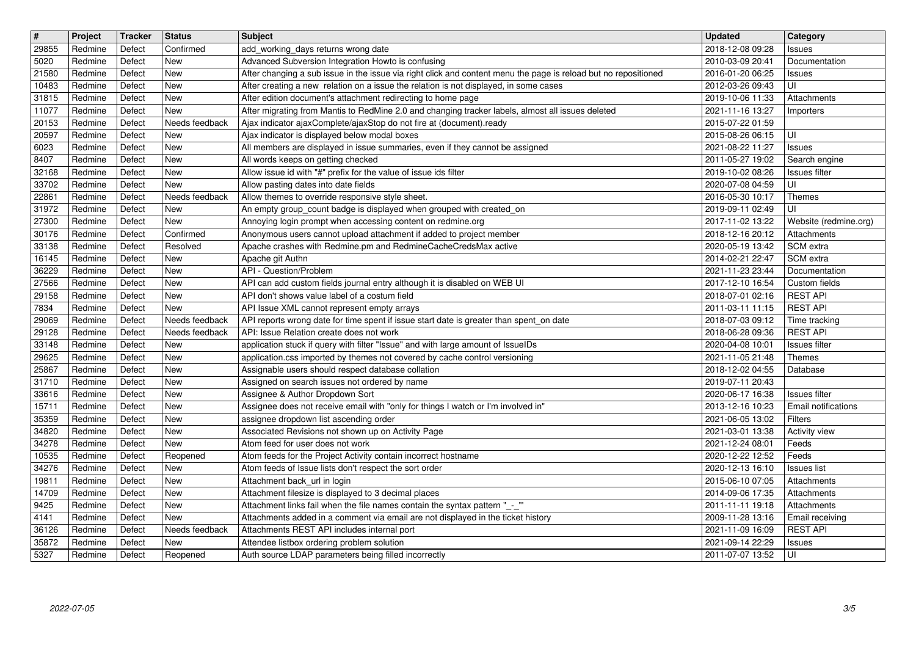| $\overline{\mathbf{H}}$<br>29855 | Project<br>Redmine | Tracker<br>Defect | <b>Status</b><br>Confirmed   | <b>Subject</b>                                                                                                                                                 | <b>Updated</b><br>2018-12-08 09:28                     | Category<br>Issues                          |
|----------------------------------|--------------------|-------------------|------------------------------|----------------------------------------------------------------------------------------------------------------------------------------------------------------|--------------------------------------------------------|---------------------------------------------|
| 5020                             | Redmine            | Defect            | New                          | add_working_days returns wrong date<br>Advanced Subversion Integration Howto is confusing                                                                      | 2010-03-09 20:41                                       | Documentation                               |
| 21580                            | Redmine            | Defect            | New                          | After changing a sub issue in the issue via right click and content menu the page is reload but no repositioned                                                | 2016-01-20 06:25                                       | <b>Issues</b>                               |
| 10483<br>31815                   | Redmine<br>Redmine | Defect<br>Defect  | New<br>New                   | After creating a new relation on a issue the relation is not displayed, in some cases<br>After edition document's attachment redirecting to home page          | 2012-03-26 09:43<br>2019-10-06 11:33                   | UI<br>Attachments                           |
| 11077                            | Redmine            | Defect            | New                          | After migrating from Mantis to RedMine 2.0 and changing tracker labels, almost all issues deleted                                                              | 2021-11-16 13:27                                       | Importers                                   |
| 20153<br>20597                   | Redmine<br>Redmine | Defect<br>Defect  | Needs feedback<br>New        | Ajax indicator ajaxComplete/ajaxStop do not fire at (document).ready<br>Ajax indicator is displayed below modal boxes                                          | 2015-07-22 01:59<br>2015-08-26 06:15                   | UI                                          |
| 6023                             | Redmine            | Defect            | New                          | All members are displayed in issue summaries, even if they cannot be assigned                                                                                  | 2021-08-22 11:27                                       | Issues                                      |
| 8407<br>32168                    | Redmine<br>Redmine | Defect<br>Defect  | New<br>New                   | All words keeps on getting checked<br>Allow issue id with "#" prefix for the value of issue ids filter                                                         | 2011-05-27 19:02<br>2019-10-02 08:26                   | Search engine<br><b>Issues</b> filter       |
| 33702                            | Redmine            | Defect            | New                          | Allow pasting dates into date fields                                                                                                                           | 2020-07-08 04:59                                       | UI                                          |
| 22861<br>31972                   | Redmine<br>Redmine | Defect<br>Defect  | Needs feedback<br>New        | Allow themes to override responsive style sheet.<br>An empty group_count badge is displayed when grouped with created_on                                       | 2016-05-30 10:17<br>2019-09-11 02:49                   | Themes<br>UI                                |
| 27300                            | Redmine            | Defect            | New                          | Annoying login prompt when accessing content on redmine.org                                                                                                    | 2017-11-02 13:22                                       | Website (redmine.org)                       |
| 30176<br>33138                   | Redmine<br>Redmine | Defect<br>Defect  | Confirmed<br>Resolved        | Anonymous users cannot upload attachment if added to project member<br>Apache crashes with Redmine.pm and RedmineCacheCredsMax active                          | 2018-12-16 20:12<br>2020-05-19 13:42                   | Attachments<br>SCM extra                    |
| 16145                            | Redmine            | Defect            | New                          | Apache git Authn                                                                                                                                               | 2014-02-21 22:47                                       | SCM extra                                   |
| 36229<br>27566                   | Redmine<br>Redmine | Defect<br>Defect  | New<br>New                   | API - Question/Problem<br>API can add custom fields journal entry although it is disabled on WEB UI                                                            | 2021-11-23 23:44<br>2017-12-10 16:54                   | Documentation<br>Custom fields              |
| 29158                            | Redmine            | Defect            | New                          | API don't shows value label of a costum field                                                                                                                  | 2018-07-01 02:16                                       | <b>REST API</b>                             |
| 7834<br>29069                    | Redmine<br>Redmine | Defect<br>Defect  | <b>New</b><br>Needs feedback | API Issue XML cannot represent empty arrays<br>API reports wrong date for time spent if issue start date is greater than spent_on date                         | 2011-03-11 11:15<br>2018-07-03 09:12                   | <b>REST API</b><br>Time tracking            |
| 29128                            | Redmine            | Defect            | Needs feedback               | API: Issue Relation create does not work                                                                                                                       | 2018-06-28 09:36                                       | <b>REST API</b>                             |
| 33148                            | Redmine            | Defect            | New<br>New                   | application stuck if query with filter "Issue" and with large amount of IssueIDs                                                                               | 2020-04-08 10:01                                       | Issues filter                               |
| 29625<br>25867                   | Redmine<br>Redmine | Defect<br>Defect  | New                          | application.css imported by themes not covered by cache control versioning<br>Assignable users should respect database collation                               | 2021-11-05 21:48<br>2018-12-02 04:55                   | Themes<br>Database                          |
| 31710                            | Redmine            | Defect            | New                          | Assigned on search issues not ordered by name                                                                                                                  | 2019-07-11 20:43                                       |                                             |
| 33616<br>15711                   | Redmine<br>Redmine | Defect<br>Defect  | New<br>New                   | Assignee & Author Dropdown Sort<br>Assignee does not receive email with "only for things I watch or I'm involved in"                                           | 2020-06-17 16:38<br>2013-12-16 10:23                   | <b>Issues filter</b><br>Email notifications |
| 35359                            | Redmine            | Defect            | New                          | assignee dropdown list ascending order                                                                                                                         | 2021-06-05 13:02                                       | <b>Filters</b>                              |
| 34820<br>34278                   | Redmine<br>Redmine | Defect<br>Defect  | New<br>New                   | Associated Revisions not shown up on Activity Page<br>Atom feed for user does not work                                                                         | 2021-03-01 13:38<br>2021-12-24 08:01                   | Activity view<br>Feeds                      |
| 10535                            | Redmine            | Defect            | Reopened                     | Atom feeds for the Project Activity contain incorrect hostname                                                                                                 | 2020-12-22 12:52                                       | Feeds                                       |
| 34276<br>19811                   | Redmine<br>Redmine | Defect<br>Defect  | New<br>New                   | Atom feeds of Issue lists don't respect the sort order<br>Attachment back_url in login                                                                         | 2020-12-13 16:10<br>2015-06-10 07:05                   | <b>Issues list</b><br>Attachments           |
| 14709                            | Redmine            | Defect            | New                          | Attachment filesize is displayed to 3 decimal places                                                                                                           | 2014-09-06 17:35                                       | Attachments                                 |
| 9425<br>4141                     | Redmine<br>Redmine | Defect<br>Defect  | New<br>New                   | Attachment links fail when the file names contain the syntax pattern "_-_"<br>Attachments added in a comment via email are not displayed in the ticket history | 2011-11-11 19:18<br>2009-11-28 13:16   Email receiving | Attachments                                 |
| 36126                            | Redmine            | Defect            | Needs feedback               | Attachments REST API includes internal port                                                                                                                    | 2021-11-09 16:09                                       | <b>REST API</b>                             |
| 35872<br>5327                    | Redmine<br>Redmine | Defect<br>Defect  | New<br>Reopened              | Attendee listbox ordering problem solution<br>Auth source LDAP parameters being filled incorrectly                                                             | 2021-09-14 22:29<br>2011-07-07 13:52                   | Issues<br>UI                                |
|                                  |                    |                   |                              |                                                                                                                                                                |                                                        |                                             |
|                                  |                    |                   |                              |                                                                                                                                                                |                                                        |                                             |
|                                  |                    |                   |                              |                                                                                                                                                                |                                                        |                                             |
|                                  |                    |                   |                              |                                                                                                                                                                |                                                        |                                             |
|                                  |                    |                   |                              |                                                                                                                                                                |                                                        |                                             |
|                                  |                    |                   |                              |                                                                                                                                                                |                                                        |                                             |
|                                  |                    |                   |                              |                                                                                                                                                                |                                                        |                                             |
|                                  |                    |                   |                              |                                                                                                                                                                |                                                        |                                             |
|                                  |                    |                   |                              |                                                                                                                                                                |                                                        |                                             |
|                                  |                    |                   |                              |                                                                                                                                                                |                                                        |                                             |
|                                  |                    |                   |                              |                                                                                                                                                                |                                                        |                                             |
|                                  |                    |                   |                              |                                                                                                                                                                |                                                        |                                             |
|                                  |                    |                   |                              |                                                                                                                                                                |                                                        |                                             |
|                                  |                    |                   |                              |                                                                                                                                                                |                                                        |                                             |
|                                  |                    |                   |                              |                                                                                                                                                                |                                                        |                                             |
|                                  |                    |                   |                              |                                                                                                                                                                |                                                        |                                             |
|                                  |                    |                   |                              |                                                                                                                                                                |                                                        |                                             |
|                                  |                    |                   |                              |                                                                                                                                                                |                                                        |                                             |
|                                  |                    |                   |                              |                                                                                                                                                                |                                                        |                                             |
|                                  |                    |                   |                              |                                                                                                                                                                |                                                        |                                             |
|                                  |                    |                   |                              |                                                                                                                                                                |                                                        |                                             |
|                                  |                    |                   |                              |                                                                                                                                                                |                                                        |                                             |
|                                  |                    |                   |                              |                                                                                                                                                                |                                                        |                                             |
|                                  |                    |                   |                              |                                                                                                                                                                |                                                        |                                             |
|                                  |                    |                   |                              |                                                                                                                                                                |                                                        |                                             |
|                                  |                    |                   |                              |                                                                                                                                                                |                                                        |                                             |
|                                  |                    |                   |                              |                                                                                                                                                                |                                                        |                                             |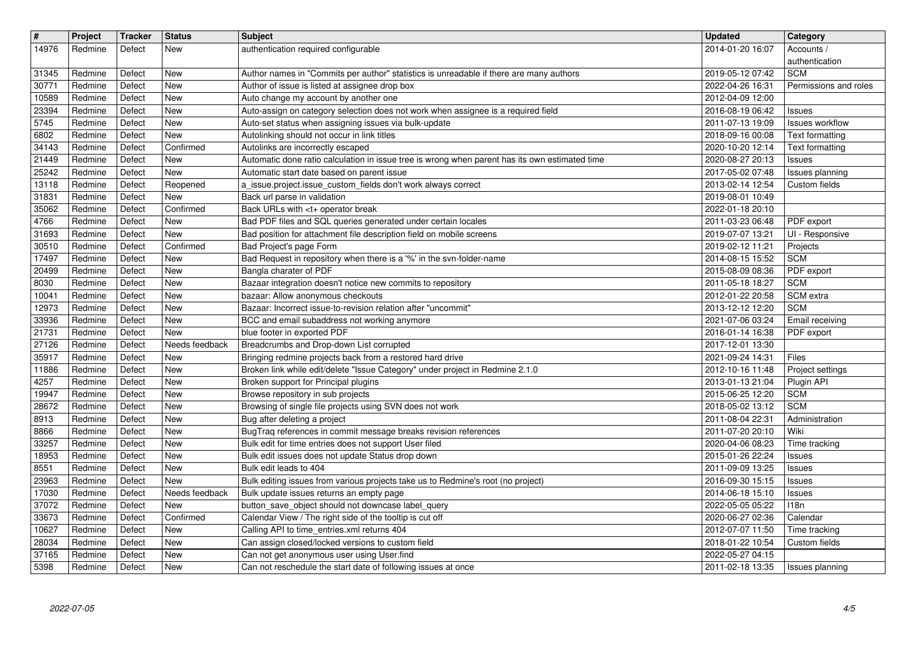| $\sqrt{\frac{4}{15}}$<br>14976 | Project<br>Redmine | <b>Tracker</b><br>Defect | <b>Status</b><br>New         | Subject<br>authentication required configurable                                                                                     | <b>Updated</b><br>2014-01-20 16:07   | Category<br>Accounts /                    |
|--------------------------------|--------------------|--------------------------|------------------------------|-------------------------------------------------------------------------------------------------------------------------------------|--------------------------------------|-------------------------------------------|
| 31345                          | Redmine            | Defect                   | <b>New</b>                   | Author names in "Commits per author" statistics is unreadable if there are many authors                                             | 2019-05-12 07:42                     | authentication<br><b>SCM</b>              |
| 30771<br>10589                 | Redmine<br>Redmine | Defect<br>Defect         | <b>New</b><br><b>New</b>     | Author of issue is listed at assignee drop box<br>Auto change my account by another one                                             | 2022-04-26 16:31<br>2012-04-09 12:00 | Permissions and roles                     |
| 23394                          | Redmine            | Defect                   | <b>New</b>                   | Auto-assign on category selection does not work when assignee is a required field                                                   | 2016-08-19 06:42                     | <b>Issues</b>                             |
| 5745<br>6802                   | Redmine<br>Redmine | Defect<br>Defect         | New<br><b>New</b>            | Auto-set status when assigning issues via bulk-update<br>Autolinking should not occur in link titles                                | 2011-07-13 19:09<br>2018-09-16 00:08 | <b>Issues workflow</b><br>Text formatting |
| 34143<br>21449                 | Redmine<br>Redmine | Defect<br>Defect         | Confirmed<br><b>New</b>      | Autolinks are incorrectly escaped<br>Automatic done ratio calculation in issue tree is wrong when parent has its own estimated time | 2020-10-20 12:14<br>2020-08-27 20:13 | <b>Text formatting</b><br><b>Issues</b>   |
| 25242                          | Redmine            | Defect                   | <b>New</b>                   | Automatic start date based on parent issue                                                                                          | 2017-05-02 07:48                     | Issues planning                           |
| 13118<br>31831                 | Redmine<br>Redmine | Defect<br>Defect         | Reopened<br><b>New</b>       | a_issue.project.issue_custom_fields don't work always correct<br>Back url parse in validation                                       | 2013-02-14 12:54<br>2019-08-01 10:49 | Custom fields                             |
| 35062<br>4766                  | Redmine<br>Redmine | Defect<br>Defect         | Confirmed<br><b>New</b>      | Back URLs with <t+ break<br="" operator="">Bad PDF files and SQL queries generated under certain locales</t+>                       | 2022-01-18 20:10<br>2011-03-23 06:48 | PDF export                                |
| 31693                          | Redmine            | Defect                   | <b>New</b>                   | Bad position for attachment file description field on mobile screens                                                                | 2019-07-07 13:21                     | UI - Responsive                           |
| 30510<br>17497                 | Redmine<br>Redmine | Defect<br>Defect         | Confirmed<br><b>New</b>      | Bad Project's page Form<br>Bad Request in repository when there is a '%' in the svn-folder-name                                     | 2019-02-12 11:21<br>2014-08-15 15:52 | Projects<br><b>SCM</b>                    |
| 20499<br>8030                  | Redmine<br>Redmine | Defect<br>Defect         | <b>New</b><br><b>New</b>     | Bangla charater of PDF<br>Bazaar integration doesn't notice new commits to repository                                               | 2015-08-09 08:36<br>2011-05-18 18:27 | PDF export<br><b>SCM</b>                  |
| 10041                          | Redmine            | Defect                   | New                          | bazaar: Allow anonymous checkouts                                                                                                   | 2012-01-22 20:58                     | SCM extra                                 |
| 12973<br>33936                 | Redmine<br>Redmine | Defect<br>Defect         | <b>New</b><br><b>New</b>     | Bazaar: Incorrect issue-to-revision relation after "uncommit"<br>BCC and email subaddress not working anymore                       | 2013-12-12 12:20<br>2021-07-06 03:24 | <b>SCM</b><br>Email receiving             |
| 21731<br>27126                 | Redmine<br>Redmine | Defect<br>Defect         | <b>New</b><br>Needs feedback | blue footer in exported PDF<br>Breadcrumbs and Drop-down List corrupted                                                             | 2016-01-14 16:38<br>2017-12-01 13:30 | PDF export                                |
| 35917                          | Redmine            | Defect                   | <b>New</b>                   | Bringing redmine projects back from a restored hard drive                                                                           | 2021-09-24 14:31                     | Files                                     |
| 11886<br>4257                  | Redmine<br>Redmine | Defect<br>Defect         | <b>New</b><br>New            | Broken link while edit/delete "Issue Category" under project in Redmine 2.1.0<br>Broken support for Principal plugins               | 2012-10-16 11:48<br>2013-01-13 21:04 | Project settings<br>Plugin API            |
| 19947                          | Redmine            | Defect                   | <b>New</b>                   | Browse repository in sub projects                                                                                                   | 2015-06-25 12:20                     | <b>SCM</b>                                |
| 28672<br>8913                  | Redmine<br>Redmine | Defect<br>Defect         | <b>New</b><br><b>New</b>     | Browsing of single file projects using SVN does not work<br>Bug after deleting a project                                            | 2018-05-02 13:12<br>2011-08-04 22:31 | <b>SCM</b><br>Administration              |
| 8866<br>33257                  | Redmine<br>Redmine | Defect<br>Defect         | <b>New</b><br>New            | BugTraq references in commit message breaks revision references<br>Bulk edit for time entries does not support User filed           | 2011-07-20 20:10<br>2020-04-06 08:23 | Wiki<br>Time tracking                     |
| 18953                          | Redmine            | Defect                   | <b>New</b>                   | Bulk edit issues does not update Status drop down                                                                                   | 2015-01-26 22:24                     | <b>Issues</b>                             |
| 8551<br>23963                  | Redmine<br>Redmine | Defect<br>Defect         | <b>New</b><br><b>New</b>     | Bulk edit leads to 404<br>Bulk editing issues from various projects take us to Redmine's root (no project)                          | 2011-09-09 13:25<br>2016-09-30 15:15 | <b>Issues</b><br><b>Issues</b>            |
| 17030                          | Redmine            | Defect                   | Needs feedback<br>New        | Bulk update issues returns an empty page                                                                                            | 2014-06-18 15:10<br>2022-05-05 05:22 | <b>Issues</b><br>118n                     |
| 37072<br>33673                 | Redmine<br>Redmine | Defect<br>Defect         | Confirmed                    | button_save_object should not downcase label_query<br>Calendar View / The right side of the tooltip is cut off                      | 2020-06-27 02:36                     | Calendar                                  |
| 10627<br>28034                 | Redmine<br>Redmine | Defect<br>Defect         | <b>New</b><br>New            | Calling API to time_entries.xml returns 404<br>Can assign closed/locked versions to custom field                                    | 2012-07-07 11:50<br>2018-01-22 10:54 | Time tracking<br>Custom fields            |
| 37165<br>5398                  | Redmine<br>Redmine | Defect<br>Defect         | <b>New</b><br>New            | Can not get anonymous user using User.find<br>Can not reschedule the start date of following issues at once                         | 2022-05-27 04:15<br>2011-02-18 13:35 | Issues planning                           |
|                                |                    |                          |                              |                                                                                                                                     |                                      |                                           |
|                                |                    |                          |                              |                                                                                                                                     |                                      |                                           |
|                                |                    |                          |                              |                                                                                                                                     |                                      |                                           |
|                                |                    |                          |                              |                                                                                                                                     |                                      |                                           |
|                                |                    |                          |                              |                                                                                                                                     |                                      |                                           |
|                                |                    |                          |                              |                                                                                                                                     |                                      |                                           |
|                                |                    |                          |                              |                                                                                                                                     |                                      |                                           |
|                                |                    |                          |                              |                                                                                                                                     |                                      |                                           |
|                                |                    |                          |                              |                                                                                                                                     |                                      |                                           |